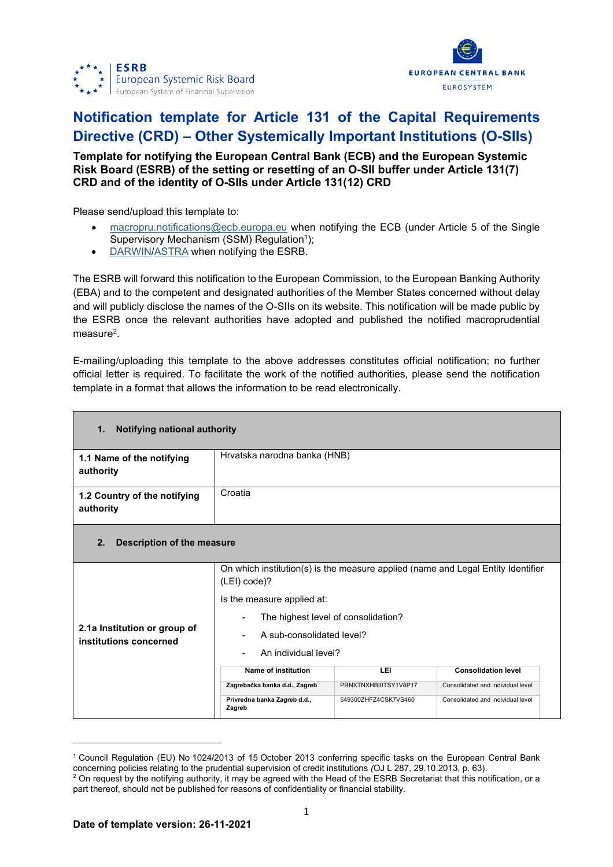



## **Notification template for Article 131 of the Capital Requirements Directive (CRD) – Other Systemically Important Institutions (O-SIIs)**

## **Template for notifying the European Central Bank (ECB) and the European Systemic Risk Board (ESRB) of the setting or resetting of an O-SII buffer under Article 131(7) CRD and of the identity of O-SIIs under Article 131(12) CRD**

Please send/upload this template to:

- [macropru.notifications@ecb.europa.eu](mailto:macropru.notifications@ecb.europa.eu) when notifying the ECB (under Article 5 of the Single Supervisory Mechanism (SSM) Regulation<sup>1</sup>);
- [DARWIN/](https://darwin.escb.eu/livelink/livelink/app/nodes/338122349)[ASTRA](https://id.ecb.europa.eu/login/) when notifying the ESRB.

The ESRB will forward this notification to the European Commission, to the European Banking Authority (EBA) and to the competent and designated authorities of the Member States concerned without delay and will publicly disclose the names of the O-SIIs on its website. This notification will be made public by the ESRB once the relevant authorities have adopted and published the notified macroprudential measure<sup>2</sup>.

E-mailing/uploading this template to the above addresses constitutes official notification; no further official letter is required. To facilitate the work of the notified authorities, please send the notification template in a format that allows the information to be read electronically.

| Notifying national authority<br>1.                     |                                                                                                    |                                   |                                   |  |  |  |
|--------------------------------------------------------|----------------------------------------------------------------------------------------------------|-----------------------------------|-----------------------------------|--|--|--|
| 1.1 Name of the notifying<br>authority                 | Hrvatska narodna banka (HNB)                                                                       |                                   |                                   |  |  |  |
| 1.2 Country of the notifying<br>authority              | Croatia                                                                                            |                                   |                                   |  |  |  |
| 2.<br>Description of the measure                       |                                                                                                    |                                   |                                   |  |  |  |
|                                                        | On which institution(s) is the measure applied (name and Legal Entity Identifier<br>$(LEI) code$ ? |                                   |                                   |  |  |  |
|                                                        | Is the measure applied at:                                                                         |                                   |                                   |  |  |  |
|                                                        | The highest level of consolidation?                                                                |                                   |                                   |  |  |  |
| 2.1a Institution or group of<br>institutions concerned | A sub-consolidated level?<br>-                                                                     |                                   |                                   |  |  |  |
|                                                        | An individual level?                                                                               |                                   |                                   |  |  |  |
|                                                        | Name of institution                                                                                | <b>Consolidation level</b><br>LEI |                                   |  |  |  |
|                                                        | Zagrebačka banka d.d., Zagreb                                                                      | PRNXTNXHBI0TSY1V8P17              | Consolidated and individual level |  |  |  |
|                                                        | Privredna banka Zagreb d.d.,<br>Zagreb                                                             | 549300ZHFZ4CSK7VS460              | Consolidated and individual level |  |  |  |

<sup>1</sup> Council Regulation (EU) No 1024/2013 of 15 October 2013 conferring specific tasks on the European Central Bank concerning policies relating to the prudential supervision of credit institutions *(*OJ L 287, 29.10.2013, p. 63).

<sup>&</sup>lt;sup>2</sup> On request by the notifying authority, it may be agreed with the Head of the ESRB Secretariat that this notification, or a part thereof, should not be published for reasons of confidentiality or financial stability.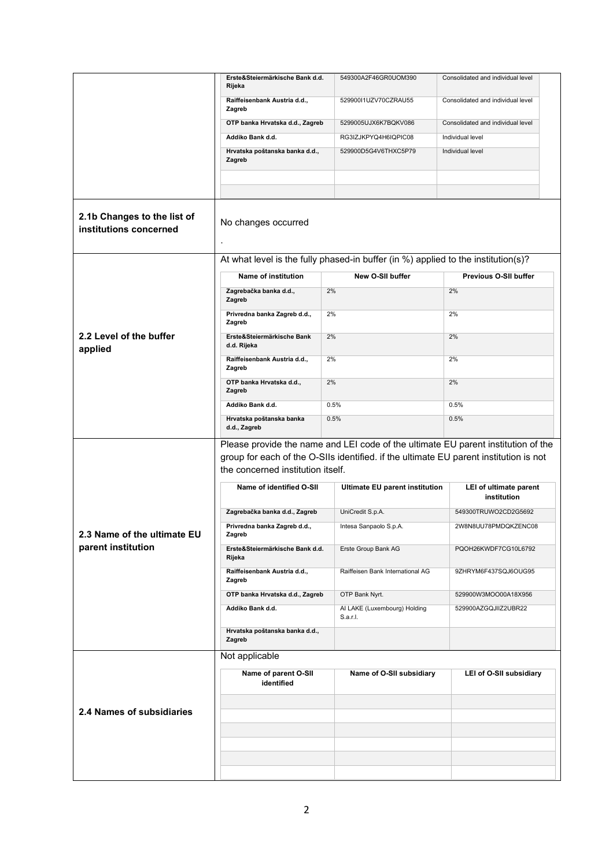|                                                       | Erste&Steiermärkische Bank d.d.                                                       | 549300A2F46GR0UOM390                                                              | Consolidated and individual level     |  |  |  |
|-------------------------------------------------------|---------------------------------------------------------------------------------------|-----------------------------------------------------------------------------------|---------------------------------------|--|--|--|
|                                                       | Rijeka                                                                                |                                                                                   |                                       |  |  |  |
|                                                       | Raiffeisenbank Austria d.d.,<br>Zagreb                                                | 52990011UZV70CZRAU55                                                              | Consolidated and individual level     |  |  |  |
|                                                       | OTP banka Hrvatska d.d., Zagreb                                                       | 5299005UJX6K7BQKV086                                                              | Consolidated and individual level     |  |  |  |
|                                                       | Addiko Bank d.d.                                                                      | RG3IZJKPYQ4H6IQPIC08                                                              | Individual level                      |  |  |  |
|                                                       | Hrvatska poštanska banka d.d.,                                                        | 529900D5G4V6THXC5P79                                                              | Individual level                      |  |  |  |
|                                                       | Zagreb                                                                                |                                                                                   |                                       |  |  |  |
|                                                       |                                                                                       |                                                                                   |                                       |  |  |  |
|                                                       |                                                                                       |                                                                                   |                                       |  |  |  |
| 2.1b Changes to the list of<br>institutions concerned | No changes occurred                                                                   |                                                                                   |                                       |  |  |  |
|                                                       |                                                                                       | At what level is the fully phased-in buffer (in %) applied to the institution(s)? |                                       |  |  |  |
|                                                       | New O-SII buffer<br><b>Name of institution</b>                                        |                                                                                   | Previous O-SII buffer                 |  |  |  |
|                                                       | Zagrebačka banka d.d.,<br>Zagreb                                                      | 2%                                                                                | 2%                                    |  |  |  |
|                                                       | Privredna banka Zagreb d.d.,<br>Zagreb                                                | 2%                                                                                | 2%                                    |  |  |  |
| 2.2 Level of the buffer<br>applied                    | Erste&Steiermärkische Bank<br>d.d. Rijeka                                             | 2%                                                                                | 2%                                    |  |  |  |
|                                                       | Raiffeisenbank Austria d.d.,<br>Zagreb                                                | 2%                                                                                | 2%                                    |  |  |  |
|                                                       | OTP banka Hrvatska d.d.,<br>Zagreb                                                    | 2%                                                                                | 2%                                    |  |  |  |
|                                                       | Addiko Bank d.d.                                                                      | 0.5%                                                                              | 0.5%                                  |  |  |  |
|                                                       | Hrvatska poštanska banka                                                              | 0.5%                                                                              | 0.5%                                  |  |  |  |
|                                                       | d.d., Zagreb                                                                          |                                                                                   |                                       |  |  |  |
|                                                       |                                                                                       | Please provide the name and LEI code of the ultimate EU parent institution of the |                                       |  |  |  |
|                                                       | group for each of the O-SIIs identified. if the ultimate EU parent institution is not |                                                                                   |                                       |  |  |  |
|                                                       | the concerned institution itself.                                                     |                                                                                   |                                       |  |  |  |
|                                                       | Name of identified O-SII                                                              | Ultimate EU parent institution                                                    | LEI of ultimate parent<br>institution |  |  |  |
|                                                       | Zagrebačka banka d.d., Zagreb                                                         | UniCredit S.p.A.                                                                  | 549300TRUWO2CD2G5692                  |  |  |  |
| 2.3 Name of the ultimate EU                           | Privredna banka Zagreb d.d.,<br>Zagreb                                                | Intesa Sanpaolo S.p.A.                                                            | 2W8N8UU78PMDQKZENC08                  |  |  |  |
| parent institution                                    | Erste&Steiermärkische Bank d.d.<br>Rijeka                                             | Erste Group Bank AG                                                               | PQOH26KWDF7CG10L6792                  |  |  |  |
|                                                       | Raiffeisenbank Austria d.d.,<br>Zagreb                                                | Raiffeisen Bank International AG                                                  | 9ZHRYM6F437SQJ6OUG95                  |  |  |  |
|                                                       | OTP banka Hrvatska d.d., Zagreb                                                       | OTP Bank Nyrt.                                                                    | 529900W3MOO00A18X956                  |  |  |  |
|                                                       | Addiko Bank d.d.                                                                      | AI LAKE (Luxembourg) Holding<br>S.a.r.l.                                          | 529900AZGQJIIZ2UBR22                  |  |  |  |
|                                                       |                                                                                       |                                                                                   |                                       |  |  |  |
|                                                       | Hrvatska poštanska banka d.d.,<br>Zagreb                                              |                                                                                   |                                       |  |  |  |
|                                                       | Not applicable                                                                        |                                                                                   |                                       |  |  |  |
|                                                       |                                                                                       |                                                                                   |                                       |  |  |  |
|                                                       | Name of parent O-SII<br>identified                                                    | Name of O-SII subsidiary                                                          | LEI of O-SII subsidiary               |  |  |  |
|                                                       |                                                                                       |                                                                                   |                                       |  |  |  |
| 2.4 Names of subsidiaries                             |                                                                                       |                                                                                   |                                       |  |  |  |
|                                                       |                                                                                       |                                                                                   |                                       |  |  |  |
|                                                       |                                                                                       |                                                                                   |                                       |  |  |  |
|                                                       |                                                                                       |                                                                                   |                                       |  |  |  |
|                                                       |                                                                                       |                                                                                   |                                       |  |  |  |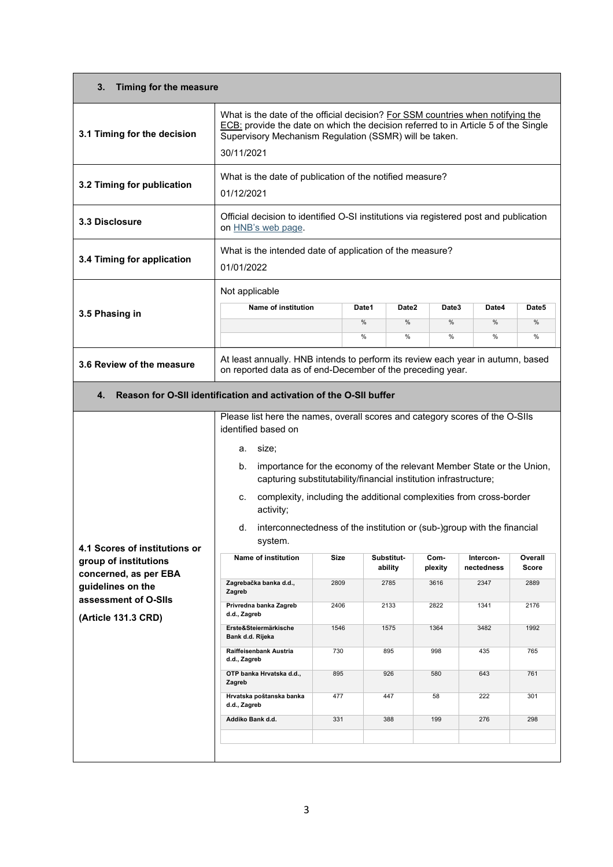| 3.<br>Timing for the measure                                                                                                                        |                                                                                                                                                                                                                                                                                                                                                                                                                                                                                                                                                                         |                                     |                                                             |       |                                                       |                                                        |                                                               |
|-----------------------------------------------------------------------------------------------------------------------------------------------------|-------------------------------------------------------------------------------------------------------------------------------------------------------------------------------------------------------------------------------------------------------------------------------------------------------------------------------------------------------------------------------------------------------------------------------------------------------------------------------------------------------------------------------------------------------------------------|-------------------------------------|-------------------------------------------------------------|-------|-------------------------------------------------------|--------------------------------------------------------|---------------------------------------------------------------|
| 3.1 Timing for the decision                                                                                                                         | What is the date of the official decision? For SSM countries when notifying the<br>ECB: provide the date on which the decision referred to in Article 5 of the Single<br>Supervisory Mechanism Regulation (SSMR) will be taken.<br>30/11/2021                                                                                                                                                                                                                                                                                                                           |                                     |                                                             |       |                                                       |                                                        |                                                               |
| 3.2 Timing for publication                                                                                                                          | What is the date of publication of the notified measure?<br>01/12/2021                                                                                                                                                                                                                                                                                                                                                                                                                                                                                                  |                                     |                                                             |       |                                                       |                                                        |                                                               |
| 3.3 Disclosure                                                                                                                                      | Official decision to identified O-SI institutions via registered post and publication<br>on <b>HNB's</b> web page.                                                                                                                                                                                                                                                                                                                                                                                                                                                      |                                     |                                                             |       |                                                       |                                                        |                                                               |
| 3.4 Timing for application                                                                                                                          | What is the intended date of application of the measure?<br>01/01/2022                                                                                                                                                                                                                                                                                                                                                                                                                                                                                                  |                                     |                                                             |       |                                                       |                                                        |                                                               |
|                                                                                                                                                     | Not applicable<br>Name of institution                                                                                                                                                                                                                                                                                                                                                                                                                                                                                                                                   |                                     | Date1                                                       | Date2 | Date3                                                 | Date4                                                  | Date5                                                         |
| 3.5 Phasing in                                                                                                                                      |                                                                                                                                                                                                                                                                                                                                                                                                                                                                                                                                                                         |                                     | %                                                           | %     | %                                                     | $\frac{0}{0}$                                          | %                                                             |
|                                                                                                                                                     |                                                                                                                                                                                                                                                                                                                                                                                                                                                                                                                                                                         |                                     | %                                                           | %     | %                                                     | $\%$                                                   | $\%$                                                          |
| 3.6 Review of the measure                                                                                                                           | At least annually. HNB intends to perform its review each year in autumn, based<br>on reported data as of end-December of the preceding year.                                                                                                                                                                                                                                                                                                                                                                                                                           |                                     |                                                             |       |                                                       |                                                        |                                                               |
| 4.                                                                                                                                                  | Reason for O-SII identification and activation of the O-SII buffer                                                                                                                                                                                                                                                                                                                                                                                                                                                                                                      |                                     |                                                             |       |                                                       |                                                        |                                                               |
| 4.1 Scores of institutions or<br>group of institutions<br>concerned, as per EBA<br>guidelines on the<br>assessment of O-SIIs<br>(Article 131.3 CRD) | identified based on<br>size;<br>а.<br>importance for the economy of the relevant Member State or the Union,<br>b.<br>capturing substitutability/financial institution infrastructure;<br>complexity, including the additional complexities from cross-border<br>c.<br>activity;<br>interconnectedness of the institution or (sub-)group with the financial<br>d.<br>system.<br>Name of institution<br>Zagrebačka banka d.d.,<br>Zagreb<br>Privredna banka Zagreb<br>d.d., Zagreb<br>Erste&Steiermärkische<br>Bank d.d. Rijeka<br>Raiffeisenbank Austria<br>d.d., Zagreb | Size<br>2809<br>2406<br>1546<br>730 | Substitut-<br>ability<br>2785<br>2133<br>1575<br>895<br>926 |       | Com-<br>plexity<br>3616<br>2822<br>1364<br>998<br>580 | Intercon-<br>nectedness<br>2347<br>1341<br>3482<br>435 | Overall<br><b>Score</b><br>2889<br>2176<br>1992<br>765<br>761 |
|                                                                                                                                                     | OTP banka Hrvatska d.d.,<br>Zagreb                                                                                                                                                                                                                                                                                                                                                                                                                                                                                                                                      | 895                                 |                                                             |       |                                                       | 643                                                    |                                                               |
|                                                                                                                                                     | Hrvatska poštanska banka<br>d.d., Zagreb                                                                                                                                                                                                                                                                                                                                                                                                                                                                                                                                | 477                                 | 447                                                         |       | 58                                                    | 222                                                    | 301                                                           |
|                                                                                                                                                     | Addiko Bank d.d.                                                                                                                                                                                                                                                                                                                                                                                                                                                                                                                                                        | 331                                 | 388                                                         |       | 199                                                   | 276                                                    | 298                                                           |
|                                                                                                                                                     |                                                                                                                                                                                                                                                                                                                                                                                                                                                                                                                                                                         |                                     |                                                             |       |                                                       |                                                        |                                                               |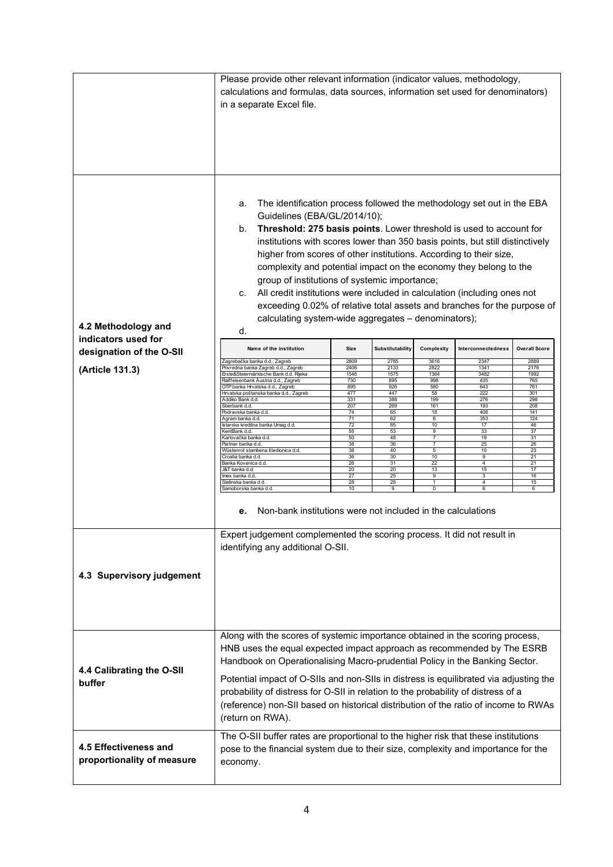|                            | Please provide other relevant information (indicator values, methodology,<br>calculations and formulas, data sources, information set used for denominators)<br>in a separate Excel file.                                                                                                                                                                                                                                                                                                                                                                                                                                            |              |                  |                   |                    |                      |
|----------------------------|--------------------------------------------------------------------------------------------------------------------------------------------------------------------------------------------------------------------------------------------------------------------------------------------------------------------------------------------------------------------------------------------------------------------------------------------------------------------------------------------------------------------------------------------------------------------------------------------------------------------------------------|--------------|------------------|-------------------|--------------------|----------------------|
|                            |                                                                                                                                                                                                                                                                                                                                                                                                                                                                                                                                                                                                                                      |              |                  |                   |                    |                      |
|                            | The identification process followed the methodology set out in the EBA<br>а.<br>Guidelines (EBA/GL/2014/10);<br>Threshold: 275 basis points. Lower threshold is used to account for<br>b.<br>institutions with scores lower than 350 basis points, but still distinctively<br>higher from scores of other institutions. According to their size,<br>complexity and potential impact on the economy they belong to the<br>group of institutions of systemic importance;<br>All credit institutions were included in calculation (including ones not<br>C.<br>exceeding 0.02% of relative total assets and branches for the purpose of |              |                  |                   |                    |                      |
| 4.2 Methodology and        | calculating system-wide aggregates - denominators);<br>d.                                                                                                                                                                                                                                                                                                                                                                                                                                                                                                                                                                            |              |                  |                   |                    |                      |
| indicators used for        |                                                                                                                                                                                                                                                                                                                                                                                                                                                                                                                                                                                                                                      |              |                  |                   |                    |                      |
| designation of the O-SII   | Name of the institution                                                                                                                                                                                                                                                                                                                                                                                                                                                                                                                                                                                                              | Size         | Substitutability | Complexity        | Interconnectedness | <b>Overall Score</b> |
| (Article 131.3)            | Zagrebačka banka d.d., Zagreb<br>Privredna banka Zagreb d.d., Zagreb                                                                                                                                                                                                                                                                                                                                                                                                                                                                                                                                                                 | 2809<br>2406 | 2785<br>2133     | 3616<br>2822      | 2347<br>1341       | 2889<br>2176         |
|                            | Erste&Steiermärkische Bank d.d. Rijeka<br>Raiffeisenbank Austria d.d., Zagreb                                                                                                                                                                                                                                                                                                                                                                                                                                                                                                                                                        | 1546<br>730  | 1575<br>895      | 1364<br>998       | 3482<br>435        | 1992<br>765          |
|                            | OTP banka Hrvatska d.d., Zagreb<br>Hrvatska poštanska banka d.d., Zagreb                                                                                                                                                                                                                                                                                                                                                                                                                                                                                                                                                             | 895<br>477   | 926<br>447       | 580<br>58         | 643<br>222         | 761<br>301           |
|                            | Addiko Bank d.d.<br>Sberbank d.d.                                                                                                                                                                                                                                                                                                                                                                                                                                                                                                                                                                                                    | 331<br>207   | 388<br>269       | 199<br>161        | 276<br>193         | 298<br>208           |
|                            | Podravska banka d.d.<br>Agram banka d.d.                                                                                                                                                                                                                                                                                                                                                                                                                                                                                                                                                                                             | 74<br>71     | 65<br>62         | 18<br>8           | 408<br>353         | 141<br>124           |
|                            | Istarska kreditna banka Umag d.d.                                                                                                                                                                                                                                                                                                                                                                                                                                                                                                                                                                                                    | 72           | 85               | 10                | 17                 | 46                   |
|                            | KentBank d.d.<br>Karlovačka banka d.d.                                                                                                                                                                                                                                                                                                                                                                                                                                                                                                                                                                                               | 55<br>50     | 53<br>48         | 9<br>7            | 33<br>19           | 37<br>31             |
|                            | Partner banka d.d.<br>Wüstenrot stambena štedionica d.d.                                                                                                                                                                                                                                                                                                                                                                                                                                                                                                                                                                             | 38<br>38     | 36<br>40         | 7<br>5            | 25<br>10           | 26<br>23             |
|                            | Croatia banka d.d.<br>Banka Kovanica d.d.                                                                                                                                                                                                                                                                                                                                                                                                                                                                                                                                                                                            | 36<br>26     | 30<br>31         | 10<br>22          | 9<br>4             | 21<br>21             |
|                            | J&T banka d.d.                                                                                                                                                                                                                                                                                                                                                                                                                                                                                                                                                                                                                       | 20           | 20               | 13                | 15                 | 17                   |
|                            | lmex banka d.d.<br>Slatinska banka d.d                                                                                                                                                                                                                                                                                                                                                                                                                                                                                                                                                                                               | 27<br>28     | 25<br>28         | 9<br>$\mathbf{1}$ | 3<br>4             | 16<br>15             |
|                            | Samoborska banka d.d.                                                                                                                                                                                                                                                                                                                                                                                                                                                                                                                                                                                                                | 10           | 9                | $\overline{0}$    | 6                  | 6                    |
|                            | Non-bank institutions were not included in the calculations<br>е.                                                                                                                                                                                                                                                                                                                                                                                                                                                                                                                                                                    |              |                  |                   |                    |                      |
|                            | Expert judgement complemented the scoring process. It did not result in<br>identifying any additional O-SII.                                                                                                                                                                                                                                                                                                                                                                                                                                                                                                                         |              |                  |                   |                    |                      |
|                            |                                                                                                                                                                                                                                                                                                                                                                                                                                                                                                                                                                                                                                      |              |                  |                   |                    |                      |
| 4.3 Supervisory judgement  |                                                                                                                                                                                                                                                                                                                                                                                                                                                                                                                                                                                                                                      |              |                  |                   |                    |                      |
|                            | Along with the scores of systemic importance obtained in the scoring process,                                                                                                                                                                                                                                                                                                                                                                                                                                                                                                                                                        |              |                  |                   |                    |                      |
|                            | HNB uses the equal expected impact approach as recommended by The ESRB                                                                                                                                                                                                                                                                                                                                                                                                                                                                                                                                                               |              |                  |                   |                    |                      |
| 4.4 Calibrating the O-SII  | Handbook on Operationalising Macro-prudential Policy in the Banking Sector.                                                                                                                                                                                                                                                                                                                                                                                                                                                                                                                                                          |              |                  |                   |                    |                      |
| buffer                     | Potential impact of O-SIIs and non-SIIs in distress is equilibrated via adjusting the                                                                                                                                                                                                                                                                                                                                                                                                                                                                                                                                                |              |                  |                   |                    |                      |
|                            | probability of distress for O-SII in relation to the probability of distress of a                                                                                                                                                                                                                                                                                                                                                                                                                                                                                                                                                    |              |                  |                   |                    |                      |
|                            | (reference) non-SII based on historical distribution of the ratio of income to RWAs<br>(return on RWA).                                                                                                                                                                                                                                                                                                                                                                                                                                                                                                                              |              |                  |                   |                    |                      |
|                            |                                                                                                                                                                                                                                                                                                                                                                                                                                                                                                                                                                                                                                      |              |                  |                   |                    |                      |
|                            | The O-SII buffer rates are proportional to the higher risk that these institutions                                                                                                                                                                                                                                                                                                                                                                                                                                                                                                                                                   |              |                  |                   |                    |                      |
| 4.5 Effectiveness and      |                                                                                                                                                                                                                                                                                                                                                                                                                                                                                                                                                                                                                                      |              |                  |                   |                    |                      |
| proportionality of measure | pose to the financial system due to their size, complexity and importance for the                                                                                                                                                                                                                                                                                                                                                                                                                                                                                                                                                    |              |                  |                   |                    |                      |
|                            | economy.                                                                                                                                                                                                                                                                                                                                                                                                                                                                                                                                                                                                                             |              |                  |                   |                    |                      |
|                            |                                                                                                                                                                                                                                                                                                                                                                                                                                                                                                                                                                                                                                      |              |                  |                   |                    |                      |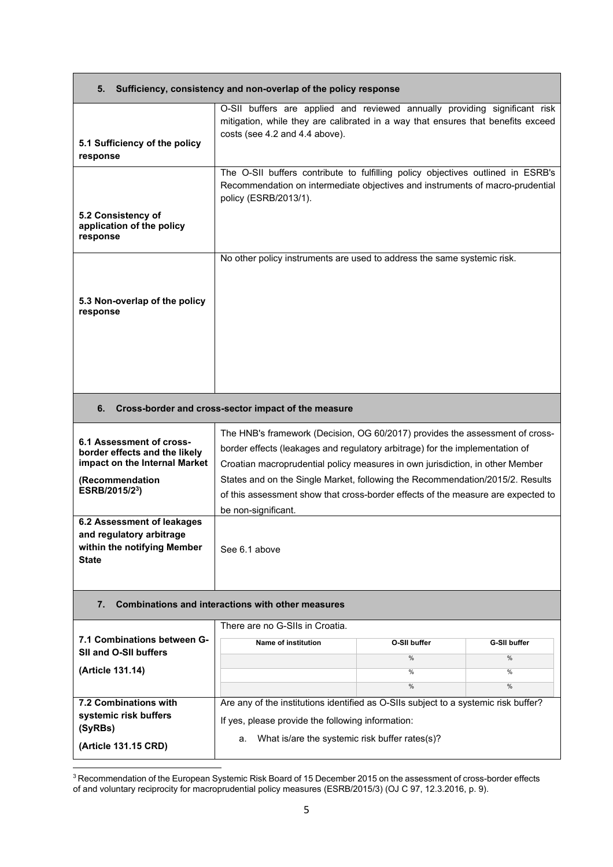| 5.                                                               | Sufficiency, consistency and non-overlap of the policy response                                                                                                                                  |  |  |  |  |
|------------------------------------------------------------------|--------------------------------------------------------------------------------------------------------------------------------------------------------------------------------------------------|--|--|--|--|
| 5.1 Sufficiency of the policy<br>response                        | O-SII buffers are applied and reviewed annually providing significant risk<br>mitigation, while they are calibrated in a way that ensures that benefits exceed<br>costs (see 4.2 and 4.4 above). |  |  |  |  |
|                                                                  | The O-SII buffers contribute to fulfilling policy objectives outlined in ESRB's<br>Recommendation on intermediate objectives and instruments of macro-prudential<br>policy (ESRB/2013/1).        |  |  |  |  |
| 5.2 Consistency of<br>application of the policy<br>response      |                                                                                                                                                                                                  |  |  |  |  |
|                                                                  | No other policy instruments are used to address the same systemic risk.                                                                                                                          |  |  |  |  |
| 5.3 Non-overlap of the policy<br>response                        |                                                                                                                                                                                                  |  |  |  |  |
|                                                                  |                                                                                                                                                                                                  |  |  |  |  |
|                                                                  |                                                                                                                                                                                                  |  |  |  |  |
| 6.                                                               | Cross-border and cross-sector impact of the measure                                                                                                                                              |  |  |  |  |
| 6.1 Assessment of cross-                                         | The HNB's framework (Decision, OG 60/2017) provides the assessment of cross-                                                                                                                     |  |  |  |  |
| border effects and the likely                                    | border effects (leakages and regulatory arbitrage) for the implementation of                                                                                                                     |  |  |  |  |
| impact on the Internal Market<br>(Recommendation                 | Croatian macroprudential policy measures in own jurisdiction, in other Member<br>States and on the Single Market, following the Recommendation/2015/2. Results                                   |  |  |  |  |
| ESRB/2015/2 <sup>3</sup> )                                       | of this assessment show that cross-border effects of the measure are expected to                                                                                                                 |  |  |  |  |
|                                                                  | be non-significant.                                                                                                                                                                              |  |  |  |  |
| 6.2 Assessment of leakages                                       |                                                                                                                                                                                                  |  |  |  |  |
| and regulatory arbitrage<br>within the notifying Member<br>State | See 6.1 above                                                                                                                                                                                    |  |  |  |  |
| <b>Combinations and interactions with other measures</b><br>7.   |                                                                                                                                                                                                  |  |  |  |  |
|                                                                  | There are no G-SIIs in Croatia.                                                                                                                                                                  |  |  |  |  |
| 7.1 Combinations between G-<br>SII and O-SII buffers             | Name of institution<br>O-SII buffer<br><b>G-SII buffer</b>                                                                                                                                       |  |  |  |  |
| (Article 131.14)                                                 | %<br>%<br>%<br>%                                                                                                                                                                                 |  |  |  |  |
|                                                                  | %<br>%                                                                                                                                                                                           |  |  |  |  |
| 7.2 Combinations with                                            | Are any of the institutions identified as O-SIIs subject to a systemic risk buffer?                                                                                                              |  |  |  |  |
| systemic risk buffers<br>(SyRBs)                                 | If yes, please provide the following information:                                                                                                                                                |  |  |  |  |
| (Article 131.15 CRD)                                             | What is/are the systemic risk buffer rates(s)?<br>a.                                                                                                                                             |  |  |  |  |

 $^3$ Recommendation of the European Systemic Risk Board of 15 December 2015 on the assessment of cross-border effects of and voluntary reciprocity for macroprudential policy measures (ESRB/2015/3) (OJ C 97, 12.3.2016, p. 9).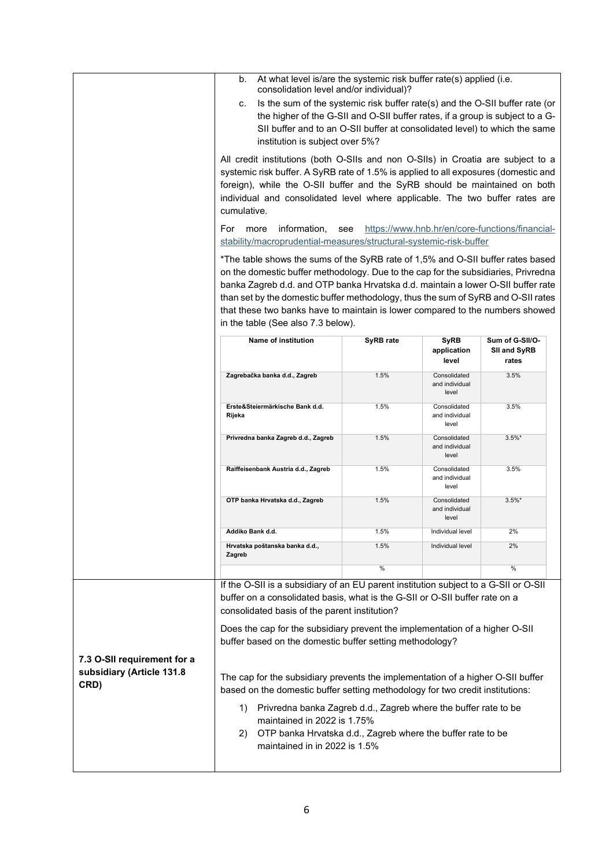|                                                                  | At what level is/are the systemic risk buffer rate(s) applied (i.e.<br>b.                                                                                                                                                                                                                                                                                                                                                                                                                                           |              |                                         |                                          |  |  |
|------------------------------------------------------------------|---------------------------------------------------------------------------------------------------------------------------------------------------------------------------------------------------------------------------------------------------------------------------------------------------------------------------------------------------------------------------------------------------------------------------------------------------------------------------------------------------------------------|--------------|-----------------------------------------|------------------------------------------|--|--|
|                                                                  | consolidation level and/or individual)?<br>Is the sum of the systemic risk buffer rate(s) and the O-SII buffer rate (or<br>c.<br>the higher of the G-SII and O-SII buffer rates, if a group is subject to a G-<br>SII buffer and to an O-SII buffer at consolidated level) to which the same<br>institution is subject over 5%?                                                                                                                                                                                     |              |                                         |                                          |  |  |
|                                                                  | All credit institutions (both O-SIIs and non O-SIIs) in Croatia are subject to a<br>systemic risk buffer. A SyRB rate of 1.5% is applied to all exposures (domestic and<br>foreign), while the O-SII buffer and the SyRB should be maintained on both<br>individual and consolidated level where applicable. The two buffer rates are<br>cumulative.<br>For<br>information,<br>https://www.hnb.hr/en/core-functions/financial-<br>more<br>see<br>stability/macroprudential-measures/structural-systemic-risk-buffer |              |                                         |                                          |  |  |
|                                                                  |                                                                                                                                                                                                                                                                                                                                                                                                                                                                                                                     |              |                                         |                                          |  |  |
|                                                                  | *The table shows the sums of the SyRB rate of 1,5% and O-SII buffer rates based<br>on the domestic buffer methodology. Due to the cap for the subsidiaries, Privredna<br>banka Zagreb d.d. and OTP banka Hrvatska d.d. maintain a lower O-SII buffer rate<br>than set by the domestic buffer methodology, thus the sum of SyRB and O-SII rates<br>that these two banks have to maintain is lower compared to the numbers showed<br>in the table (See also 7.3 below).                                               |              |                                         |                                          |  |  |
|                                                                  | Name of institution                                                                                                                                                                                                                                                                                                                                                                                                                                                                                                 | SyRB rate    | <b>SyRB</b><br>application<br>level     | Sum of G-SII/O-<br>SII and SyRB<br>rates |  |  |
|                                                                  | Zagrebačka banka d.d., Zagreb                                                                                                                                                                                                                                                                                                                                                                                                                                                                                       | 1.5%         | Consolidated<br>and individual<br>level | 3.5%                                     |  |  |
|                                                                  | Erste&Steiermärkische Bank d.d.<br>Rijeka                                                                                                                                                                                                                                                                                                                                                                                                                                                                           | 1.5%         | Consolidated<br>and individual<br>level | 3.5%                                     |  |  |
|                                                                  | Privredna banka Zagreb d.d., Zagreb                                                                                                                                                                                                                                                                                                                                                                                                                                                                                 | 1.5%         | Consolidated<br>and individual<br>level | $3.5\%$ *                                |  |  |
|                                                                  | Raiffeisenbank Austria d.d., Zagreb                                                                                                                                                                                                                                                                                                                                                                                                                                                                                 | 1.5%         | Consolidated<br>and individual<br>level | 3.5%                                     |  |  |
|                                                                  | OTP banka Hrvatska d.d., Zagreb                                                                                                                                                                                                                                                                                                                                                                                                                                                                                     | 1.5%         | Consolidated<br>and individual<br>level | $3.5\%$ *                                |  |  |
|                                                                  | Addiko Bank d.d                                                                                                                                                                                                                                                                                                                                                                                                                                                                                                     | 1.5%         | Individual level                        | 2%                                       |  |  |
|                                                                  | Hrvatska poštanska banka d.d.,<br>Zagreb                                                                                                                                                                                                                                                                                                                                                                                                                                                                            | 1.5%<br>$\%$ | Individual level                        | 2%<br>$\%$                               |  |  |
|                                                                  |                                                                                                                                                                                                                                                                                                                                                                                                                                                                                                                     |              |                                         |                                          |  |  |
|                                                                  | If the O-SII is a subsidiary of an EU parent institution subject to a G-SII or O-SII<br>buffer on a consolidated basis, what is the G-SII or O-SII buffer rate on a<br>consolidated basis of the parent institution?<br>Does the cap for the subsidiary prevent the implementation of a higher O-SII<br>buffer based on the domestic buffer setting methodology?                                                                                                                                                    |              |                                         |                                          |  |  |
| 7.3 O-SII requirement for a<br>subsidiary (Article 131.8<br>CRD) | The cap for the subsidiary prevents the implementation of a higher O-SII buffer<br>based on the domestic buffer setting methodology for two credit institutions:<br>Privredna banka Zagreb d.d., Zagreb where the buffer rate to be<br>1)<br>maintained in 2022 is 1.75%<br>OTP banka Hrvatska d.d., Zagreb where the buffer rate to be<br>2)<br>maintained in in 2022 is 1.5%                                                                                                                                      |              |                                         |                                          |  |  |